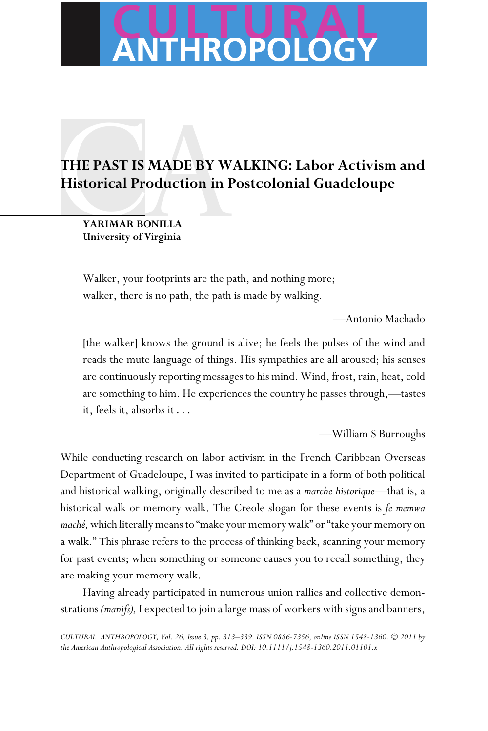# **ITHROPOI**

## THE PAST IS MADE BY WALKING: Labor Activism and<br>Historical Production in Postcolonial Guadeloupe<br>YARIMAR BONILLA<br>University of Virginia **Historical Production in Postcolonial Guadeloupe** S MADE BY WAS<br>
roduction in P<br>
CONILLA<br>
Virginia

**YARIMAR BONILLA University of Virginia**

Walker, your footprints are the path, and nothing more; walker, there is no path, the path is made by walking.

—Antonio Machado

[the walker] knows the ground is alive; he feels the pulses of the wind and reads the mute language of things. His sympathies are all aroused; his senses are continuously reporting messages to his mind. Wind, frost, rain, heat, cold are something to him. He experiences the country he passes through,—tastes it, feels it, absorbs it ...

—William S Burroughs

While conducting research on labor activism in the French Caribbean Overseas Department of Guadeloupe, I was invited to participate in a form of both political and historical walking, originally described to me as a *marche historique*—that is, a historical walk or memory walk. The Creole slogan for these events is *fe memwa* maché, which literally means to "make your memory walk" or "take your memory on a walk." This phrase refers to the process of thinking back, scanning your memory for past events; when something or someone causes you to recall something, they are making your memory walk.

Having already participated in numerous union rallies and collective demonstrations *(manifs),* I expected to join a large mass of workers with signs and banners,

*CULTURAL ANTHROPOLOGY, Vol. 26, Issue 3, pp. 313–339. ISSN 0886-7356, online ISSN 1548-1360.* -<sup>C</sup> *2011 by the American Anthropological Association. All rights reserved. DOI: 10.1111/j.1548-1360.2011.01101.x*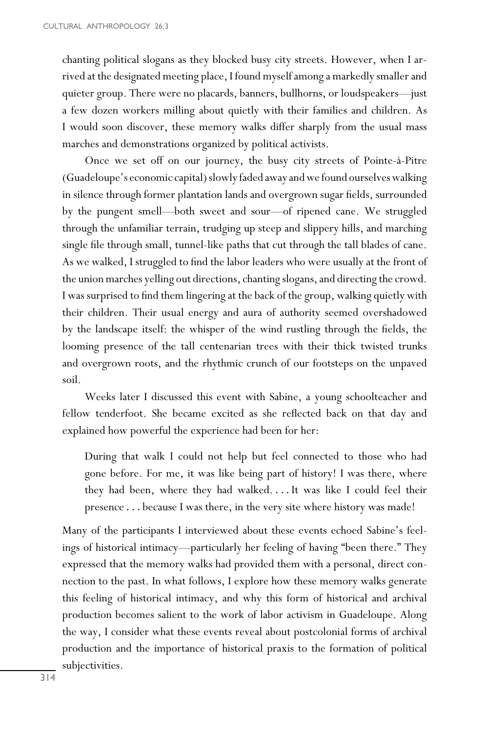chanting political slogans as they blocked busy city streets. However, when I arrived at the designated meeting place, I found myself among a markedly smaller and quieter group. There were no placards, banners, bullhorns, or loudspeakers—just a few dozen workers milling about quietly with their families and children. As I would soon discover, these memory walks differ sharply from the usual mass marches and demonstrations organized by political activists.

Once we set off on our journey, the busy city streets of Pointe-à-Pitre (Guadeloupe's economic capital) slowly faded away and we found ourselves walking in silence through former plantation lands and overgrown sugar fields, surrounded by the pungent smell—both sweet and sour—of ripened cane. We struggled through the unfamiliar terrain, trudging up steep and slippery hills, and marching single file through small, tunnel-like paths that cut through the tall blades of cane. As we walked, I struggled to find the labor leaders who were usually at the front of the union marches yelling out directions, chanting slogans, and directing the crowd. I was surprised to find them lingering at the back of the group, walking quietly with their children. Their usual energy and aura of authority seemed overshadowed by the landscape itself: the whisper of the wind rustling through the fields, the looming presence of the tall centenarian trees with their thick twisted trunks and overgrown roots, and the rhythmic crunch of our footsteps on the unpaved soil.

Weeks later I discussed this event with Sabine, a young schoolteacher and fellow tenderfoot. She became excited as she reflected back on that day and explained how powerful the experience had been for her:

During that walk I could not help but feel connected to those who had gone before. For me, it was like being part of history! I was there, where they had been, where they had walked. ... It was like I could feel their presence ... because I was there, in the very site where history was made!

Many of the participants I interviewed about these events echoed Sabine's feelings of historical intimacy—particularly her feeling of having "been there." They expressed that the memory walks had provided them with a personal, direct connection to the past. In what follows, I explore how these memory walks generate this feeling of historical intimacy, and why this form of historical and archival production becomes salient to the work of labor activism in Guadeloupe. Along the way, I consider what these events reveal about postcolonial forms of archival production and the importance of historical praxis to the formation of political subjectivities.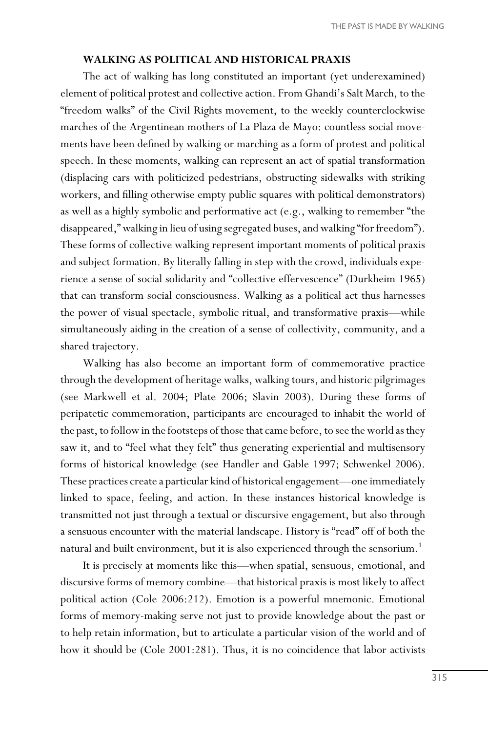#### **WALKING AS POLITICAL AND HISTORICAL PRAXIS**

The act of walking has long constituted an important (yet underexamined) element of political protest and collective action. From Ghandi's Salt March, to the "freedom walks" of the Civil Rights movement, to the weekly counterclockwise marches of the Argentinean mothers of La Plaza de Mayo: countless social movements have been defined by walking or marching as a form of protest and political speech. In these moments, walking can represent an act of spatial transformation (displacing cars with politicized pedestrians, obstructing sidewalks with striking workers, and filling otherwise empty public squares with political demonstrators) as well as a highly symbolic and performative act (e.g., walking to remember "the disappeared," walking in lieu of using segregated buses, and walking "for freedom"). These forms of collective walking represent important moments of political praxis and subject formation. By literally falling in step with the crowd, individuals experience a sense of social solidarity and "collective effervescence" (Durkheim 1965) that can transform social consciousness. Walking as a political act thus harnesses the power of visual spectacle, symbolic ritual, and transformative praxis—while simultaneously aiding in the creation of a sense of collectivity, community, and a shared trajectory.

Walking has also become an important form of commemorative practice through the development of heritage walks, walking tours, and historic pilgrimages (see Markwell et al. 2004; Plate 2006; Slavin 2003). During these forms of peripatetic commemoration, participants are encouraged to inhabit the world of the past, to follow in the footsteps of those that came before, to see the world as they saw it, and to "feel what they felt" thus generating experiential and multisensory forms of historical knowledge (see Handler and Gable 1997; Schwenkel 2006). These practices create a particular kind of historical engagement—one immediately linked to space, feeling, and action. In these instances historical knowledge is transmitted not just through a textual or discursive engagement, but also through a sensuous encounter with the material landscape. History is "read" off of both the natural and built environment, but it is also experienced through the sensorium.<sup>1</sup>

It is precisely at moments like this—when spatial, sensuous, emotional, and discursive forms of memory combine—that historical praxis is most likely to affect political action (Cole 2006:212). Emotion is a powerful mnemonic. Emotional forms of memory-making serve not just to provide knowledge about the past or to help retain information, but to articulate a particular vision of the world and of how it should be (Cole 2001:281). Thus, it is no coincidence that labor activists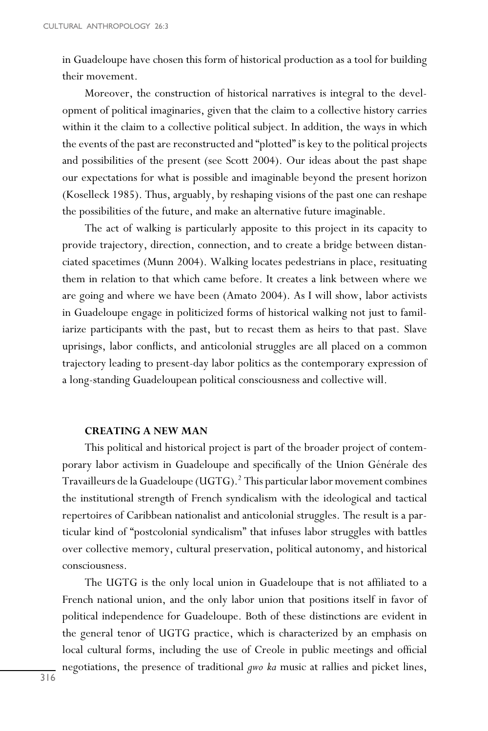in Guadeloupe have chosen this form of historical production as a tool for building their movement.

Moreover, the construction of historical narratives is integral to the development of political imaginaries, given that the claim to a collective history carries within it the claim to a collective political subject. In addition, the ways in which the events of the past are reconstructed and "plotted" is key to the political projects and possibilities of the present (see Scott 2004). Our ideas about the past shape our expectations for what is possible and imaginable beyond the present horizon (Koselleck 1985). Thus, arguably, by reshaping visions of the past one can reshape the possibilities of the future, and make an alternative future imaginable.

The act of walking is particularly apposite to this project in its capacity to provide trajectory, direction, connection, and to create a bridge between distanciated spacetimes (Munn 2004). Walking locates pedestrians in place, resituating them in relation to that which came before. It creates a link between where we are going and where we have been (Amato 2004). As I will show, labor activists in Guadeloupe engage in politicized forms of historical walking not just to familiarize participants with the past, but to recast them as heirs to that past. Slave uprisings, labor conflicts, and anticolonial struggles are all placed on a common trajectory leading to present-day labor politics as the contemporary expression of a long-standing Guadeloupean political consciousness and collective will.

#### **CREATING A NEW MAN**

This political and historical project is part of the broader project of contemporary labor activism in Guadeloupe and specifically of the Union Générale des Travailleurs de la Guadeloupe (UGTG).<sup>2</sup> This particular labor movement combines the institutional strength of French syndicalism with the ideological and tactical repertoires of Caribbean nationalist and anticolonial struggles. The result is a particular kind of "postcolonial syndicalism" that infuses labor struggles with battles over collective memory, cultural preservation, political autonomy, and historical consciousness.

The UGTG is the only local union in Guadeloupe that is not affiliated to a French national union, and the only labor union that positions itself in favor of political independence for Guadeloupe. Both of these distinctions are evident in the general tenor of UGTG practice, which is characterized by an emphasis on local cultural forms, including the use of Creole in public meetings and official negotiations, the presence of traditional *gwo ka* music at rallies and picket lines,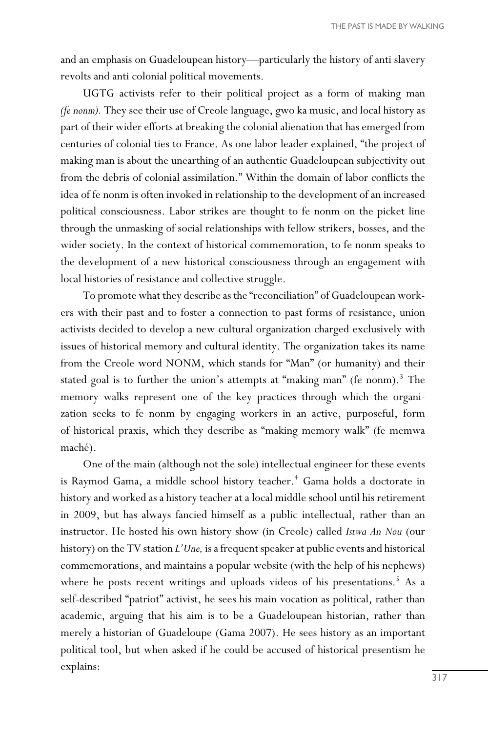and an emphasis on Guadeloupean history—particularly the history of anti slavery revolts and anti colonial political movements.

UGTG activists refer to their political project as a form of making man *(fe nonm).* They see their use of Creole language, gwo ka music, and local history as part of their wider efforts at breaking the colonial alienation that has emerged from centuries of colonial ties to France. As one labor leader explained, "the project of making man is about the unearthing of an authentic Guadeloupean subjectivity out from the debris of colonial assimilation." Within the domain of labor conflicts the idea of fe nonm is often invoked in relationship to the development of an increased political consciousness. Labor strikes are thought to fe nonm on the picket line through the unmasking of social relationships with fellow strikers, bosses, and the wider society. In the context of historical commemoration, to fe nonm speaks to the development of a new historical consciousness through an engagement with local histories of resistance and collective struggle.

To promote what they describe as the "reconciliation" of Guadeloupean workers with their past and to foster a connection to past forms of resistance, union activists decided to develop a new cultural organization charged exclusively with issues of historical memory and cultural identity. The organization takes its name from the Creole word NONM, which stands for "Man" (or humanity) and their stated goal is to further the union's attempts at "making man" (fe nonm).<sup>3</sup> The memory walks represent one of the key practices through which the organization seeks to fe nonm by engaging workers in an active, purposeful, form of historical praxis, which they describe as "making memory walk" (fe memwa maché).

One of the main (although not the sole) intellectual engineer for these events is Raymod Gama, a middle school history teacher.<sup>4</sup> Gama holds a doctorate in history and worked as a history teacher at a local middle school until his retirement in 2009, but has always fancied himself as a public intellectual, rather than an instructor. He hosted his own history show (in Creole) called *Istwa An Nou* (our history) on the TV station *L'Une,* is a frequent speaker at public events and historical commemorations, and maintains a popular website (with the help of his nephews) where he posts recent writings and uploads videos of his presentations.<sup>5</sup> As a self-described "patriot" activist, he sees his main vocation as political, rather than academic, arguing that his aim is to be a Guadeloupean historian, rather than merely a historian of Guadeloupe (Gama 2007). He sees history as an important political tool, but when asked if he could be accused of historical presentism he explains: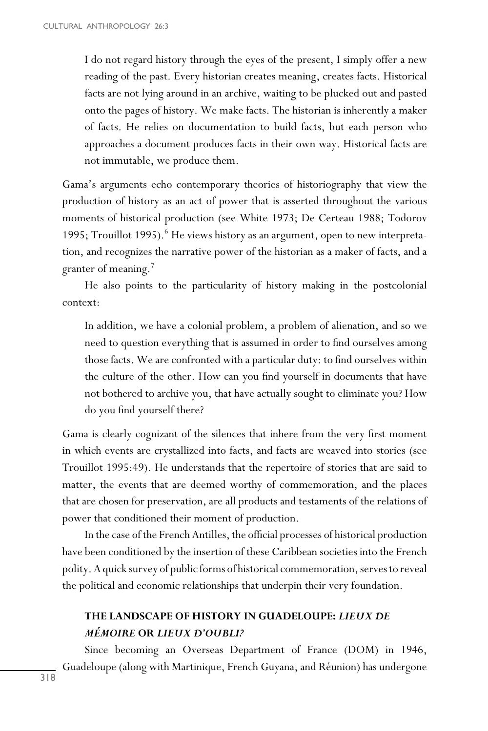I do not regard history through the eyes of the present, I simply offer a new reading of the past. Every historian creates meaning, creates facts. Historical facts are not lying around in an archive, waiting to be plucked out and pasted onto the pages of history. We make facts. The historian is inherently a maker of facts. He relies on documentation to build facts, but each person who approaches a document produces facts in their own way. Historical facts are not immutable, we produce them.

Gama's arguments echo contemporary theories of historiography that view the production of history as an act of power that is asserted throughout the various moments of historical production (see White 1973; De Certeau 1988; Todorov 1995; Trouillot 1995).<sup>6</sup> He views history as an argument, open to new interpretation, and recognizes the narrative power of the historian as a maker of facts, and a granter of meaning.<sup>7</sup>

He also points to the particularity of history making in the postcolonial context:

In addition, we have a colonial problem, a problem of alienation, and so we need to question everything that is assumed in order to find ourselves among those facts. We are confronted with a particular duty: to find ourselves within the culture of the other. How can you find yourself in documents that have not bothered to archive you, that have actually sought to eliminate you? How do you find yourself there?

Gama is clearly cognizant of the silences that inhere from the very first moment in which events are crystallized into facts, and facts are weaved into stories (see Trouillot 1995:49). He understands that the repertoire of stories that are said to matter, the events that are deemed worthy of commemoration, and the places that are chosen for preservation, are all products and testaments of the relations of power that conditioned their moment of production.

In the case of the French Antilles, the official processes of historical production have been conditioned by the insertion of these Caribbean societies into the French polity. A quick survey of public forms of historical commemoration, servesto reveal the political and economic relationships that underpin their very foundation.

### **THE LANDSCAPE OF HISTORY IN GUADELOUPE:** *LIEUX DE MEMOIRE ´* **OR** *LIEUX D'OUBLI?*

Since becoming an Overseas Department of France (DOM) in 1946, Guadeloupe (along with Martinique, French Guyana, and Réunion) has undergone  $\frac{318}{2}$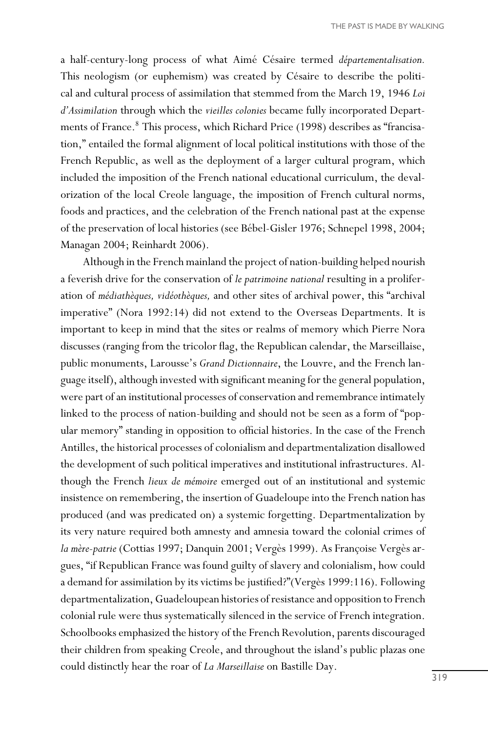a half-century-long process of what Aimé Césaire termed *départementalisation*. This neologism (or euphemism) was created by Césaire to describe the political and cultural process of assimilation that stemmed from the March 19, 1946 *Loi d'Assimilation* through which the *vieilles colonies* became fully incorporated Departments of France.<sup>8</sup> This process, which Richard Price (1998) describes as "francisation," entailed the formal alignment of local political institutions with those of the French Republic, as well as the deployment of a larger cultural program, which included the imposition of the French national educational curriculum, the devalorization of the local Creole language, the imposition of French cultural norms, foods and practices, and the celebration of the French national past at the expense of the preservation of local histories (see Bébel-Gisler 1976; Schnepel 1998, 2004; Managan 2004; Reinhardt 2006).

Although in the French mainland the project of nation-building helped nourish a feverish drive for the conservation of *le patrimoine national* resulting in a proliferation of *médiathèques, vidéothèques,* and other sites of archival power, this "archival imperative" (Nora 1992:14) did not extend to the Overseas Departments. It is important to keep in mind that the sites or realms of memory which Pierre Nora discusses (ranging from the tricolor flag, the Republican calendar, the Marseillaise, public monuments, Larousse's *Grand Dictionnaire*, the Louvre, and the French language itself), although invested with significant meaning for the general population, were part of an institutional processes of conservation and remembrance intimately linked to the process of nation-building and should not be seen as a form of "popular memory" standing in opposition to official histories. In the case of the French Antilles, the historical processes of colonialism and departmentalization disallowed the development of such political imperatives and institutional infrastructures. Although the French *lieux de mémoire* emerged out of an institutional and systemic insistence on remembering, the insertion of Guadeloupe into the French nation has produced (and was predicated on) a systemic forgetting. Departmentalization by its very nature required both amnesty and amnesia toward the colonial crimes of *la mère-patrie* (Cottias 1997; Danquin 2001; Vergès 1999). As Françoise Vergès argues, "if Republican France was found guilty of slavery and colonialism, how could a demand for assimilation by its victims be justified?"(Vergès 1999:116). Following departmentalization, Guadeloupean histories of resistance and opposition to French colonial rule were thus systematically silenced in the service of French integration. Schoolbooks emphasized the history of the French Revolution, parents discouraged their children from speaking Creole, and throughout the island's public plazas one could distinctly hear the roar of *La Marseillaise* on Bastille Day.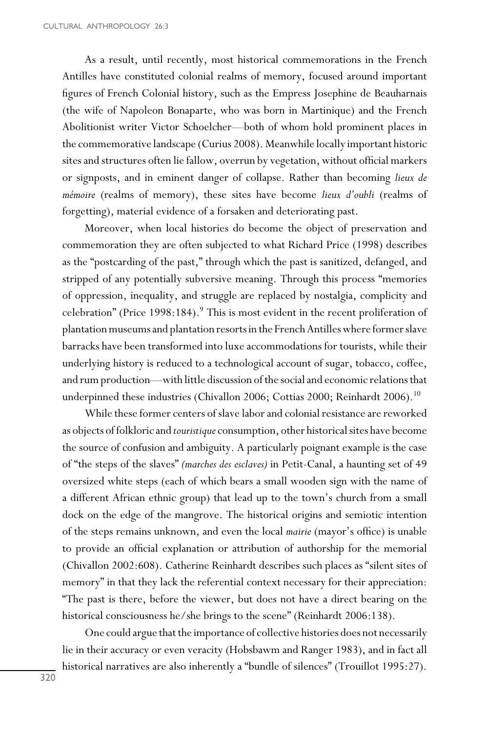As a result, until recently, most historical commemorations in the French Antilles have constituted colonial realms of memory, focused around important figures of French Colonial history, such as the Empress Josephine de Beauharnais (the wife of Napoleon Bonaparte, who was born in Martinique) and the French Abolitionist writer Victor Schoelcher—both of whom hold prominent places in the commemorative landscape (Curius 2008). Meanwhile locally important historic sites and structures often lie fallow, overrun by vegetation, without official markers or signposts, and in eminent danger of collapse. Rather than becoming *lieux de m´emoire* (realms of memory), these sites have become *lieux d'oubli* (realms of forgetting), material evidence of a forsaken and deteriorating past.

Moreover, when local histories do become the object of preservation and commemoration they are often subjected to what Richard Price (1998) describes as the "postcarding of the past," through which the past is sanitized, defanged, and stripped of any potentially subversive meaning. Through this process "memories of oppression, inequality, and struggle are replaced by nostalgia, complicity and celebration" (Price 1998:184).<sup>9</sup> This is most evident in the recent proliferation of plantation museums and plantation resorts inthe French Antilles where former slave barracks have been transformed into luxe accommodations for tourists, while their underlying history is reduced to a technological account of sugar, tobacco, coffee, and rum production—with little discussion of the social and economic relations that underpinned these industries (Chivallon 2006; Cottias 2000; Reinhardt 2006).<sup>10</sup>

While these former centers of slave labor and colonial resistance are reworked as objects of folkloric and *touristique* consumption, other historical sites have become the source of confusion and ambiguity. A particularly poignant example is the case of "the steps of the slaves" *(marches des esclaves)* in Petit-Canal, a haunting set of 49 oversized white steps (each of which bears a small wooden sign with the name of a different African ethnic group) that lead up to the town's church from a small dock on the edge of the mangrove. The historical origins and semiotic intention of the steps remains unknown, and even the local *mairie* (mayor's office) is unable to provide an official explanation or attribution of authorship for the memorial (Chivallon 2002:608). Catherine Reinhardt describes such places as "silent sites of memory" in that they lack the referential context necessary for their appreciation: "The past is there, before the viewer, but does not have a direct bearing on the historical consciousness he/she brings to the scene" (Reinhardt 2006:138).

One could argue that the importance of collective histories does not necessarily lie in their accuracy or even veracity (Hobsbawm and Ranger 1983), and in fact all historical narratives are also inherently a "bundle of silences" (Trouillot 1995:27).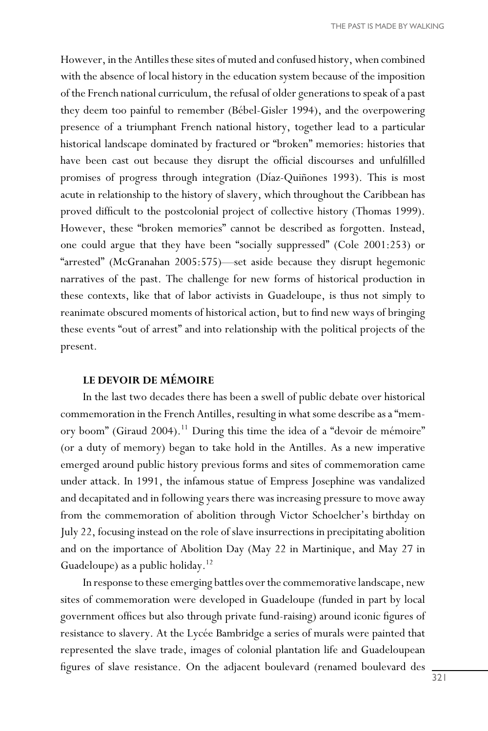However, in the Antilles these sites of muted and confused history, when combined with the absence of local history in the education system because of the imposition of the French national curriculum, the refusal of older generations to speak of a past they deem too painful to remember (Bébel-Gisler 1994), and the overpowering presence of a triumphant French national history, together lead to a particular historical landscape dominated by fractured or "broken" memories: histories that have been cast out because they disrupt the official discourses and unfulfilled promises of progress through integration (Díaz-Quiñones 1993). This is most acute in relationship to the history of slavery, which throughout the Caribbean has proved difficult to the postcolonial project of collective history (Thomas 1999). However, these "broken memories" cannot be described as forgotten. Instead, one could argue that they have been "socially suppressed" (Cole 2001:253) or "arrested" (McGranahan 2005:575)—set aside because they disrupt hegemonic narratives of the past. The challenge for new forms of historical production in these contexts, like that of labor activists in Guadeloupe, is thus not simply to reanimate obscured moments of historical action, but to find new ways of bringing these events "out of arrest" and into relationship with the political projects of the present.

#### **LE DEVOIR DE MEMOIRE ´**

In the last two decades there has been a swell of public debate over historical commemoration in the French Antilles, resulting in what some describe as a "memory boom" (Giraud 2004).<sup>11</sup> During this time the idea of a "devoir de mémoire" (or a duty of memory) began to take hold in the Antilles. As a new imperative emerged around public history previous forms and sites of commemoration came under attack. In 1991, the infamous statue of Empress Josephine was vandalized and decapitated and in following years there was increasing pressure to move away from the commemoration of abolition through Victor Schoelcher's birthday on July 22, focusing instead on the role of slave insurrections in precipitating abolition and on the importance of Abolition Day (May 22 in Martinique, and May 27 in Guadeloupe) as a public holiday.12

In response to these emerging battles over the commemorative landscape, new sites of commemoration were developed in Guadeloupe (funded in part by local government offices but also through private fund-raising) around iconic figures of resistance to slavery. At the Lycée Bambridge a series of murals were painted that represented the slave trade, images of colonial plantation life and Guadeloupean figures of slave resistance. On the adjacent boulevard (renamed boulevard des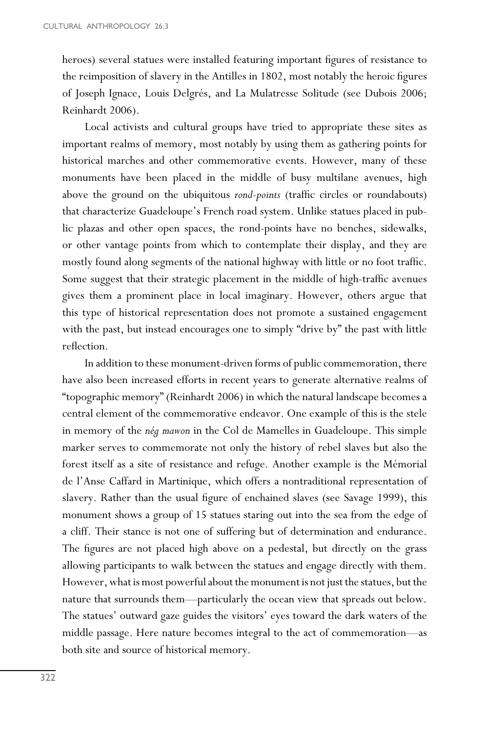heroes) several statues were installed featuring important figures of resistance to the reimposition of slavery in the Antilles in 1802, most notably the heroic figures of Joseph Ignace, Louis Delgrés, and La Mulatresse Solitude (see Dubois 2006; Reinhardt 2006).

Local activists and cultural groups have tried to appropriate these sites as important realms of memory, most notably by using them as gathering points for historical marches and other commemorative events. However, many of these monuments have been placed in the middle of busy multilane avenues, high above the ground on the ubiquitous *rond-points* (traffic circles or roundabouts) that characterize Guadeloupe's French road system. Unlike statues placed in public plazas and other open spaces, the rond-points have no benches, sidewalks, or other vantage points from which to contemplate their display, and they are mostly found along segments of the national highway with little or no foot traffic. Some suggest that their strategic placement in the middle of high-traffic avenues gives them a prominent place in local imaginary. However, others argue that this type of historical representation does not promote a sustained engagement with the past, but instead encourages one to simply "drive by" the past with little reflection.

In addition to these monument-driven forms of public commemoration, there have also been increased efforts in recent years to generate alternative realms of "topographic memory" (Reinhardt 2006) in which the natural landscape becomes a central element of the commemorative endeavor. One example of this is the stele in memory of the *n´eg mawon* in the Col de Mamelles in Guadeloupe. This simple marker serves to commemorate not only the history of rebel slaves but also the forest itself as a site of resistance and refuge. Another example is the Mémorial de l'Anse Caffard in Martinique, which offers a nontraditional representation of slavery. Rather than the usual figure of enchained slaves (see Savage 1999), this monument shows a group of 15 statues staring out into the sea from the edge of a cliff. Their stance is not one of suffering but of determination and endurance. The figures are not placed high above on a pedestal, but directly on the grass allowing participants to walk between the statues and engage directly with them. However, what is most powerful about the monument is not just the statues, but the nature that surrounds them—particularly the ocean view that spreads out below. The statues' outward gaze guides the visitors' eyes toward the dark waters of the middle passage. Here nature becomes integral to the act of commemoration—as both site and source of historical memory.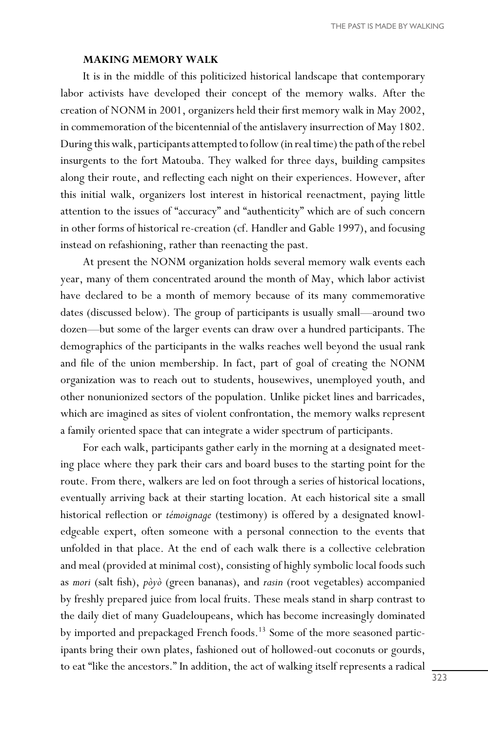#### **MAKING MEMORY WALK**

It is in the middle of this politicized historical landscape that contemporary labor activists have developed their concept of the memory walks. After the creation of NONM in 2001, organizers held their first memory walk in May 2002, in commemoration of the bicentennial of the antislavery insurrection of May 1802. During this walk, participants attempted to follow (in real time) the path of the rebel insurgents to the fort Matouba. They walked for three days, building campsites along their route, and reflecting each night on their experiences. However, after this initial walk, organizers lost interest in historical reenactment, paying little attention to the issues of "accuracy" and "authenticity" which are of such concern in other forms of historical re-creation (cf. Handler and Gable 1997), and focusing instead on refashioning, rather than reenacting the past.

At present the NONM organization holds several memory walk events each year, many of them concentrated around the month of May, which labor activist have declared to be a month of memory because of its many commemorative dates (discussed below). The group of participants is usually small—around two dozen—but some of the larger events can draw over a hundred participants. The demographics of the participants in the walks reaches well beyond the usual rank and file of the union membership. In fact, part of goal of creating the NONM organization was to reach out to students, housewives, unemployed youth, and other nonunionized sectors of the population. Unlike picket lines and barricades, which are imagined as sites of violent confrontation, the memory walks represent a family oriented space that can integrate a wider spectrum of participants.

For each walk, participants gather early in the morning at a designated meeting place where they park their cars and board buses to the starting point for the route. From there, walkers are led on foot through a series of historical locations, eventually arriving back at their starting location. At each historical site a small historical reflection or *témoignage* (testimony) is offered by a designated knowledgeable expert, often someone with a personal connection to the events that unfolded in that place. At the end of each walk there is a collective celebration and meal (provided at minimal cost), consisting of highly symbolic local foods such as *mori* (salt fish),  $p\dot{o}y\dot{o}$  (green bananas), and *rasin* (root vegetables) accompanied by freshly prepared juice from local fruits. These meals stand in sharp contrast to the daily diet of many Guadeloupeans, which has become increasingly dominated by imported and prepackaged French foods.<sup>13</sup> Some of the more seasoned participants bring their own plates, fashioned out of hollowed-out coconuts or gourds, to eat "like the ancestors." In addition, the act of walking itself represents a radical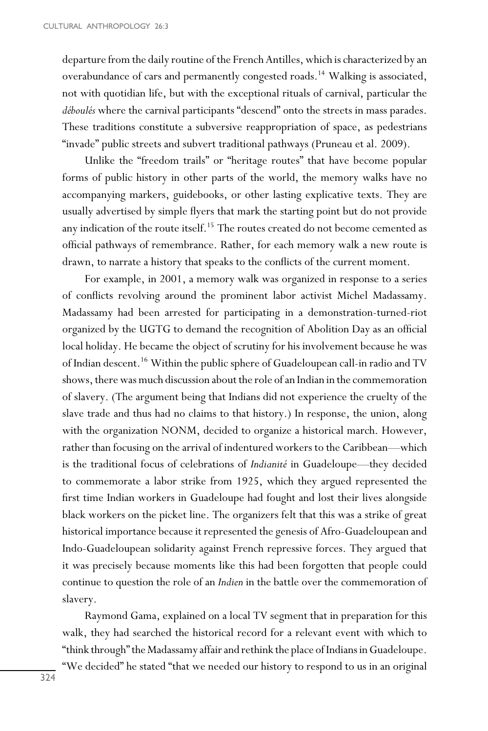departure from the daily routine of the French Antilles, which is characterized by an overabundance of cars and permanently congested roads.<sup>14</sup> Walking is associated, not with quotidian life, but with the exceptional rituals of carnival, particular the déboulés where the carnival participants "descend" onto the streets in mass parades. These traditions constitute a subversive reappropriation of space, as pedestrians "invade" public streets and subvert traditional pathways (Pruneau et al. 2009).

Unlike the "freedom trails" or "heritage routes" that have become popular forms of public history in other parts of the world, the memory walks have no accompanying markers, guidebooks, or other lasting explicative texts. They are usually advertised by simple flyers that mark the starting point but do not provide any indication of the route itself.<sup>15</sup> The routes created do not become cemented as official pathways of remembrance. Rather, for each memory walk a new route is drawn, to narrate a history that speaks to the conflicts of the current moment.

For example, in 2001, a memory walk was organized in response to a series of conflicts revolving around the prominent labor activist Michel Madassamy. Madassamy had been arrested for participating in a demonstration-turned-riot organized by the UGTG to demand the recognition of Abolition Day as an official local holiday. He became the object of scrutiny for his involvement because he was of Indian descent.<sup>16</sup> Within the public sphere of Guadeloupean call-in radio and TV shows, there was much discussion about the role of an Indian in the commemoration of slavery. (The argument being that Indians did not experience the cruelty of the slave trade and thus had no claims to that history.) In response, the union, along with the organization NONM, decided to organize a historical march. However, rather than focusing on the arrival of indentured workers to the Caribbean—which is the traditional focus of celebrations of *Indianité* in Guadeloupe—they decided to commemorate a labor strike from 1925, which they argued represented the first time Indian workers in Guadeloupe had fought and lost their lives alongside black workers on the picket line. The organizers felt that this was a strike of great historical importance because it represented the genesis of Afro-Guadeloupean and Indo-Guadeloupean solidarity against French repressive forces. They argued that it was precisely because moments like this had been forgotten that people could continue to question the role of an *Indien* in the battle over the commemoration of slavery.

Raymond Gama, explained on a local TV segment that in preparation for this walk, they had searched the historical record for a relevant event with which to "think through" the Madassamy affair and rethink the place of Indians in Guadeloupe. "We decided" he stated "that we needed our history to respond to us in an original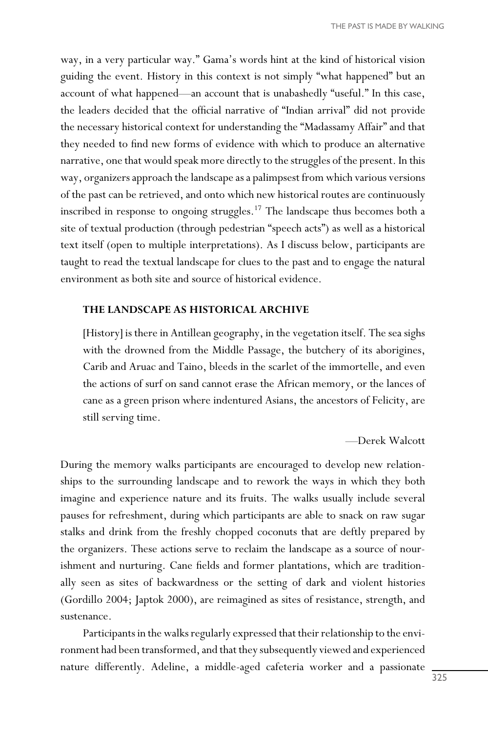way, in a very particular way." Gama's words hint at the kind of historical vision guiding the event. History in this context is not simply "what happened" but an account of what happened—an account that is unabashedly "useful." In this case, the leaders decided that the official narrative of "Indian arrival" did not provide the necessary historical context for understanding the "Madassamy Affair" and that they needed to find new forms of evidence with which to produce an alternative narrative, one that would speak more directly to the struggles of the present. In this way, organizers approach the landscape as a palimpsest from which various versions of the past can be retrieved, and onto which new historical routes are continuously inscribed in response to ongoing struggles.<sup>17</sup> The landscape thus becomes both a site of textual production (through pedestrian "speech acts") as well as a historical text itself (open to multiple interpretations). As I discuss below, participants are taught to read the textual landscape for clues to the past and to engage the natural environment as both site and source of historical evidence.

#### **THE LANDSCAPE AS HISTORICAL ARCHIVE**

[History] is there in Antillean geography, in the vegetation itself. The sea sighs with the drowned from the Middle Passage, the butchery of its aborigines, Carib and Aruac and Taino, bleeds in the scarlet of the immortelle, and even the actions of surf on sand cannot erase the African memory, or the lances of cane as a green prison where indentured Asians, the ancestors of Felicity, are still serving time.

#### —Derek Walcott

During the memory walks participants are encouraged to develop new relationships to the surrounding landscape and to rework the ways in which they both imagine and experience nature and its fruits. The walks usually include several pauses for refreshment, during which participants are able to snack on raw sugar stalks and drink from the freshly chopped coconuts that are deftly prepared by the organizers. These actions serve to reclaim the landscape as a source of nourishment and nurturing. Cane fields and former plantations, which are traditionally seen as sites of backwardness or the setting of dark and violent histories (Gordillo 2004; Japtok 2000), are reimagined as sites of resistance, strength, and sustenance.

Participants in the walks regularly expressed that their relationship to the environment had been transformed, and that they subsequently viewed and experienced nature differently. Adeline, a middle-aged cafeteria worker and a passionate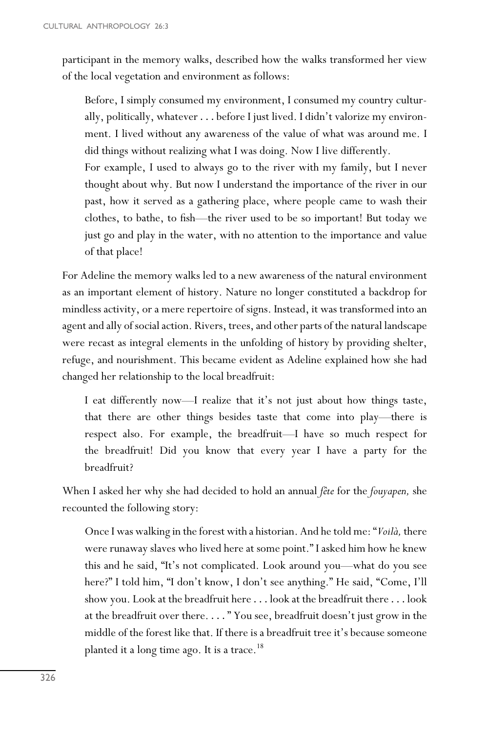participant in the memory walks, described how the walks transformed her view of the local vegetation and environment as follows:

Before, I simply consumed my environment, I consumed my country culturally, politically, whatever... before I just lived. I didn't valorize my environment. I lived without any awareness of the value of what was around me. I did things without realizing what I was doing. Now I live differently. For example, I used to always go to the river with my family, but I never thought about why. But now I understand the importance of the river in our past, how it served as a gathering place, where people came to wash their clothes, to bathe, to fish—the river used to be so important! But today we just go and play in the water, with no attention to the importance and value of that place!

For Adeline the memory walks led to a new awareness of the natural environment as an important element of history. Nature no longer constituted a backdrop for mindless activity, or a mere repertoire of signs. Instead, it was transformed into an agent and ally of social action. Rivers, trees, and other parts of the natural landscape were recast as integral elements in the unfolding of history by providing shelter, refuge, and nourishment. This became evident as Adeline explained how she had changed her relationship to the local breadfruit:

I eat differently now—I realize that it's not just about how things taste, that there are other things besides taste that come into play—there is respect also. For example, the breadfruit—I have so much respect for the breadfruit! Did you know that every year I have a party for the breadfruit?

When I asked her why she had decided to hold an annual *fête* for the *fouyapen*, she recounted the following story:

Once I was walking in the forest with a historian. And he told me: "*Voila,`* there were runaway slaves who lived here at some point." I asked him how he knew this and he said, "It's not complicated. Look around you—what do you see here?" I told him, "I don't know, I don't see anything." He said, "Come, I'll show you. Look at the breadfruit here ... look at the breadfruit there ... look at the breadfruit over there. ... " You see, breadfruit doesn't just grow in the middle of the forest like that. If there is a breadfruit tree it's because someone planted it a long time ago. It is a trace.<sup>18</sup>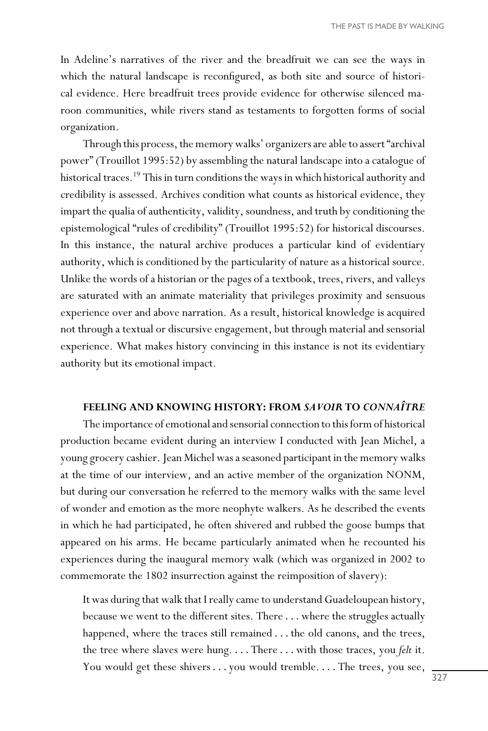In Adeline's narratives of the river and the breadfruit we can see the ways in which the natural landscape is reconfigured, as both site and source of historical evidence. Here breadfruit trees provide evidence for otherwise silenced maroon communities, while rivers stand as testaments to forgotten forms of social organization.

Through this process, the memory walks' organizers are able to assert "archival power" (Trouillot 1995:52) by assembling the natural landscape into a catalogue of historical traces.<sup>19</sup> This in turn conditions the ways in which historical authority and credibility is assessed. Archives condition what counts as historical evidence, they impart the qualia of authenticity, validity, soundness, and truth by conditioning the epistemological "rules of credibility" (Trouillot 1995:52) for historical discourses. In this instance, the natural archive produces a particular kind of evidentiary authority, which is conditioned by the particularity of nature as a historical source. Unlike the words of a historian or the pages of a textbook, trees, rivers, and valleys are saturated with an animate materiality that privileges proximity and sensuous experience over and above narration. As a result, historical knowledge is acquired not through a textual or discursive engagement, but through material and sensorial experience. What makes history convincing in this instance is not its evidentiary authority but its emotional impact.

### **FEELING AND KNOWING HISTORY: FROM** *SAVOIR* **TO** *CONNAˆ ITRE*

The importance of emotional and sensorial connection to this form of historical production became evident during an interview I conducted with Jean Michel, a young grocery cashier. Jean Michel was a seasoned participant in the memory walks at the time of our interview, and an active member of the organization NONM, but during our conversation he referred to the memory walks with the same level of wonder and emotion as the more neophyte walkers. As he described the events in which he had participated, he often shivered and rubbed the goose bumps that appeared on his arms. He became particularly animated when he recounted his experiences during the inaugural memory walk (which was organized in 2002 to commemorate the 1802 insurrection against the reimposition of slavery):

It was during that walk that I really came to understand Guadeloupean history, because we went to the different sites. There ...where the struggles actually happened, where the traces still remained . . . the old canons, and the trees, the tree where slaves were hung. ... There ...with those traces, you *felt* it. You would get these shivers . . . you would tremble. . . . The trees, you see,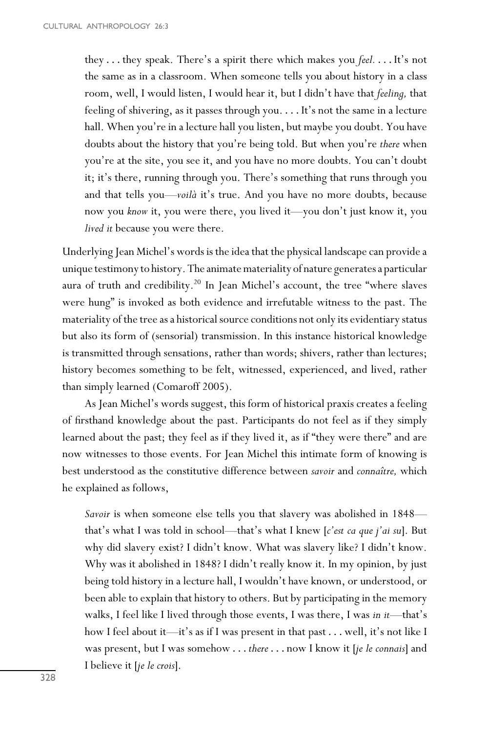they ... they speak. There's a spirit there which makes you *feel.* ... It's not the same as in a classroom. When someone tells you about history in a class room, well, I would listen, I would hear it, but I didn't have that *feeling,* that feeling of shivering, as it passes through you. ... It's not the same in a lecture hall. When you're in a lecture hall you listen, but maybe you doubt. You have doubts about the history that you're being told. But when you're *there* when you're at the site, you see it, and you have no more doubts. You can't doubt it; it's there, running through you. There's something that runs through you and that tells you—*voila`* it's true. And you have no more doubts, because now you *know* it, you were there, you lived it—you don't just know it, you *lived it* because you were there.

Underlying Jean Michel's words is the idea that the physical landscape can provide a unique testimony to history. The animate materiality of nature generates a particular aura of truth and credibility.<sup>20</sup> In Jean Michel's account, the tree "where slaves were hung" is invoked as both evidence and irrefutable witness to the past. The materiality of the tree as a historical source conditions not only its evidentiary status but also its form of (sensorial) transmission. In this instance historical knowledge is transmitted through sensations, rather than words; shivers, rather than lectures; history becomes something to be felt, witnessed, experienced, and lived, rather than simply learned (Comaroff 2005).

As Jean Michel's words suggest, this form of historical praxis creates a feeling of firsthand knowledge about the past. Participants do not feel as if they simply learned about the past; they feel as if they lived it, as if "they were there" and are now witnesses to those events. For Jean Michel this intimate form of knowing is best understood as the constitutive difference between *savoir* and *connaˆıtre,* which he explained as follows,

*Savoir* is when someone else tells you that slavery was abolished in 1848 that's what I was told in school—that's what I knew [*c'est ca que j'ai su*]. But why did slavery exist? I didn't know. What was slavery like? I didn't know. Why was it abolished in 1848? I didn't really know it. In my opinion, by just being told history in a lecture hall, I wouldn't have known, or understood, or been able to explain that history to others. But by participating in the memory walks, I feel like I lived through those events, I was there, I was *in it*—that's how I feel about it—it's as if I was present in that past ...well, it's not like I was present, but I was somehow ... *there* ... now I know it [*je le connais*] and I believe it [*je le crois*].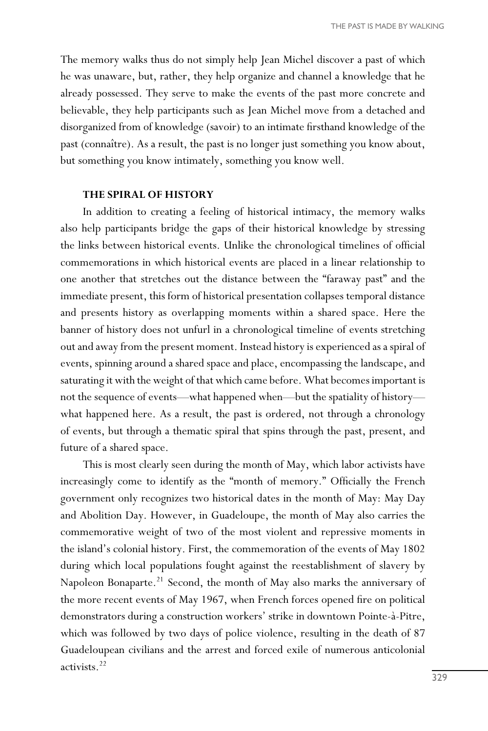The memory walks thus do not simply help Jean Michel discover a past of which he was unaware, but, rather, they help organize and channel a knowledge that he already possessed. They serve to make the events of the past more concrete and believable, they help participants such as Jean Michel move from a detached and disorganized from of knowledge (savoir) to an intimate firsthand knowledge of the past (connaître). As a result, the past is no longer just something you know about, but something you know intimately, something you know well.

#### **THE SPIRAL OF HISTORY**

In addition to creating a feeling of historical intimacy, the memory walks also help participants bridge the gaps of their historical knowledge by stressing the links between historical events. Unlike the chronological timelines of official commemorations in which historical events are placed in a linear relationship to one another that stretches out the distance between the "faraway past" and the immediate present, this form of historical presentation collapses temporal distance and presents history as overlapping moments within a shared space. Here the banner of history does not unfurl in a chronological timeline of events stretching out and away from the present moment. Instead history is experienced as a spiral of events, spinning around a shared space and place, encompassing the landscape, and saturating it with the weight of that which came before. What becomes important is not the sequence of events—what happened when—but the spatiality of history what happened here. As a result, the past is ordered, not through a chronology of events, but through a thematic spiral that spins through the past, present, and future of a shared space.

This is most clearly seen during the month of May, which labor activists have increasingly come to identify as the "month of memory." Officially the French government only recognizes two historical dates in the month of May: May Day and Abolition Day. However, in Guadeloupe, the month of May also carries the commemorative weight of two of the most violent and repressive moments in the island's colonial history. First, the commemoration of the events of May 1802 during which local populations fought against the reestablishment of slavery by Napoleon Bonaparte.<sup>21</sup> Second, the month of May also marks the anniversary of the more recent events of May 1967, when French forces opened fire on political demonstrators during a construction workers' strike in downtown Pointe-à-Pitre, which was followed by two days of police violence, resulting in the death of 87 Guadeloupean civilians and the arrest and forced exile of numerous anticolonial activists.<sup>22</sup>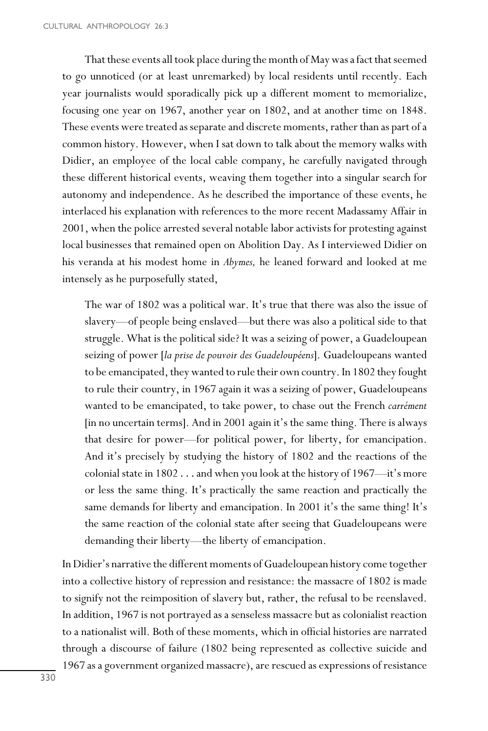That these events all took place during the month of May was a fact that seemed to go unnoticed (or at least unremarked) by local residents until recently. Each year journalists would sporadically pick up a different moment to memorialize, focusing one year on 1967, another year on 1802, and at another time on 1848. These events were treated as separate and discrete moments, rather than as part of a common history. However, when I sat down to talk about the memory walks with Didier, an employee of the local cable company, he carefully navigated through these different historical events, weaving them together into a singular search for autonomy and independence. As he described the importance of these events, he interlaced his explanation with references to the more recent Madassamy Affair in 2001, when the police arrested several notable labor activists for protesting against local businesses that remained open on Abolition Day. As I interviewed Didier on his veranda at his modest home in *Abymes,* he leaned forward and looked at me intensely as he purposefully stated,

The war of 1802 was a political war. It's true that there was also the issue of slavery—of people being enslaved—but there was also a political side to that struggle. What is the political side? It was a seizing of power, a Guadeloupean seizing of power [la prise de pouvoir des Guadeloupéens]. Guadeloupeans wanted to be emancipated, they wanted to rule their own country. In 1802 they fought to rule their country, in 1967 again it was a seizing of power, Guadeloupeans wanted to be emancipated, to take power, to chase out the French *carrément* [in no uncertain terms]. And in 2001 again it's the same thing. There is always that desire for power—for political power, for liberty, for emancipation. And it's precisely by studying the history of 1802 and the reactions of the colonial state in 1802 . . . and when you look at the history of 1967—it's more or less the same thing. It's practically the same reaction and practically the same demands for liberty and emancipation. In 2001 it's the same thing! It's the same reaction of the colonial state after seeing that Guadeloupeans were demanding their liberty—the liberty of emancipation.

In Didier's narrative the different moments of Guadeloupean history come together into a collective history of repression and resistance: the massacre of 1802 is made to signify not the reimposition of slavery but, rather, the refusal to be reenslaved. In addition, 1967 is not portrayed as a senseless massacre but as colonialist reaction to a nationalist will. Both of these moments, which in official histories are narrated through a discourse of failure (1802 being represented as collective suicide and 1967 as a government organized massacre), are rescued as expressions of resistance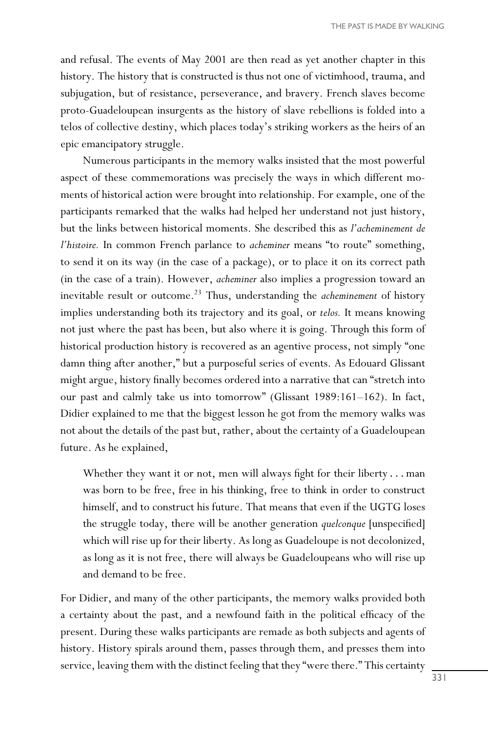and refusal. The events of May 2001 are then read as yet another chapter in this history. The history that is constructed is thus not one of victimhood, trauma, and subjugation, but of resistance, perseverance, and bravery. French slaves become proto-Guadeloupean insurgents as the history of slave rebellions is folded into a telos of collective destiny, which places today's striking workers as the heirs of an epic emancipatory struggle.

Numerous participants in the memory walks insisted that the most powerful aspect of these commemorations was precisely the ways in which different moments of historical action were brought into relationship. For example, one of the participants remarked that the walks had helped her understand not just history, but the links between historical moments. She described this as *l'acheminement de l'histoire.* In common French parlance to *acheminer* means "to route" something, to send it on its way (in the case of a package), or to place it on its correct path (in the case of a train). However, *acheminer* also implies a progression toward an inevitable result or outcome.<sup>23</sup> Thus, understanding the *acheminement* of history implies understanding both its trajectory and its goal, or *telos.* It means knowing not just where the past has been, but also where it is going. Through this form of historical production history is recovered as an agentive process, not simply "one damn thing after another," but a purposeful series of events. As Edouard Glissant might argue, history finally becomes ordered into a narrative that can "stretch into our past and calmly take us into tomorrow" (Glissant 1989:161–162). In fact, Didier explained to me that the biggest lesson he got from the memory walks was not about the details of the past but, rather, about the certainty of a Guadeloupean future. As he explained,

Whether they want it or not, men will always fight for their liberty ... man was born to be free, free in his thinking, free to think in order to construct himself, and to construct his future. That means that even if the UGTG loses the struggle today, there will be another generation *quelconque* [unspecified] which will rise up for their liberty. As long as Guadeloupe is not decolonized, as long as it is not free, there will always be Guadeloupeans who will rise up and demand to be free.

For Didier, and many of the other participants, the memory walks provided both a certainty about the past, and a newfound faith in the political efficacy of the present. During these walks participants are remade as both subjects and agents of history. History spirals around them, passes through them, and presses them into service, leaving them with the distinct feeling that they "were there." This certainty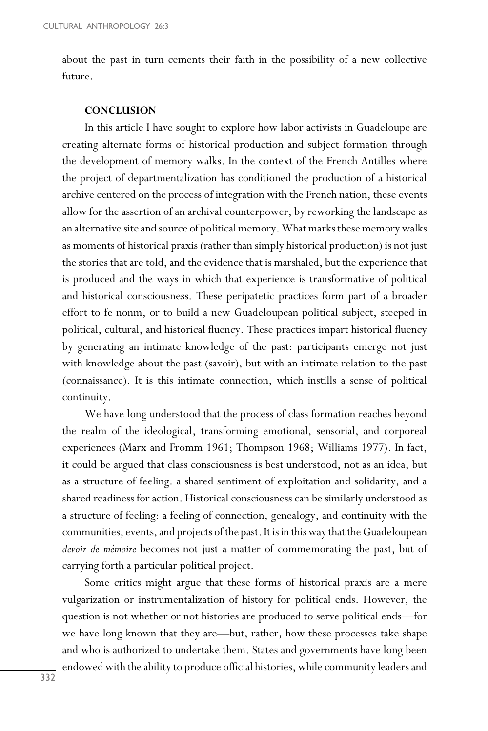about the past in turn cements their faith in the possibility of a new collective future.

#### **CONCLUSION**

In this article I have sought to explore how labor activists in Guadeloupe are creating alternate forms of historical production and subject formation through the development of memory walks. In the context of the French Antilles where the project of departmentalization has conditioned the production of a historical archive centered on the process of integration with the French nation, these events allow for the assertion of an archival counterpower, by reworking the landscape as an alternative site and source of political memory. What marks these memory walks as moments of historical praxis (rather than simply historical production) is not just the stories that are told, and the evidence that is marshaled, but the experience that is produced and the ways in which that experience is transformative of political and historical consciousness. These peripatetic practices form part of a broader effort to fe nonm, or to build a new Guadeloupean political subject, steeped in political, cultural, and historical fluency. These practices impart historical fluency by generating an intimate knowledge of the past: participants emerge not just with knowledge about the past (savoir), but with an intimate relation to the past (connaissance). It is this intimate connection, which instills a sense of political continuity.

We have long understood that the process of class formation reaches beyond the realm of the ideological, transforming emotional, sensorial, and corporeal experiences (Marx and Fromm 1961; Thompson 1968; Williams 1977). In fact, it could be argued that class consciousness is best understood, not as an idea, but as a structure of feeling: a shared sentiment of exploitation and solidarity, and a shared readiness for action. Historical consciousness can be similarly understood as a structure of feeling: a feeling of connection, genealogy, and continuity with the communities, events, and projects of the past. It is in this way that the Guadeloupean *devoir de m´emoire* becomes not just a matter of commemorating the past, but of carrying forth a particular political project.

Some critics might argue that these forms of historical praxis are a mere vulgarization or instrumentalization of history for political ends. However, the question is not whether or not histories are produced to serve political ends—for we have long known that they are—but, rather, how these processes take shape and who is authorized to undertake them. States and governments have long been endowed with the ability to produce official histories, while community leaders and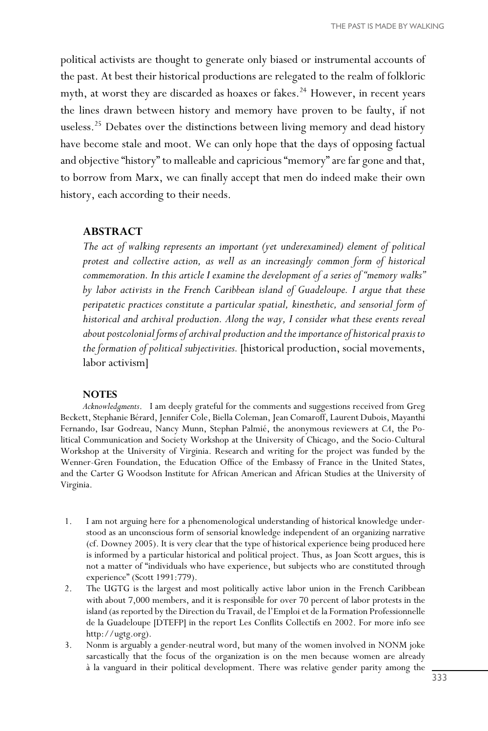political activists are thought to generate only biased or instrumental accounts of the past. At best their historical productions are relegated to the realm of folkloric myth, at worst they are discarded as hoaxes or fakes.<sup>24</sup> However, in recent years the lines drawn between history and memory have proven to be faulty, if not useless.<sup>25</sup> Debates over the distinctions between living memory and dead history have become stale and moot. We can only hope that the days of opposing factual and objective "history" to malleable and capricious "memory" are far gone and that, to borrow from Marx, we can finally accept that men do indeed make their own history, each according to their needs.

#### **ABSTRACT**

*The act of walking represents an important (yet underexamined) element of political protest and collective action, as well as an increasingly common form of historical commemoration. In this article I examine the development of a series of "memory walks" by labor activists in the French Caribbean island of Guadeloupe. I argue that these peripatetic practices constitute a particular spatial, kinesthetic, and sensorial form of historical and archival production. Along the way, I consider what these events reveal about postcolonial forms of archival production and the importance of historical praxis to the formation of political subjectivities.* [historical production, social movements, labor activism]

#### **NOTES**

*Acknowledgments*. I am deeply grateful for the comments and suggestions received from Greg Beckett, Stephanie Berard, Jennifer Cole, Biella Coleman, Jean Comaroff, Laurent Dubois, Mayanthi ´ Fernando, Isar Godreau, Nancy Munn, Stephan Palmié, the anonymous reviewers at CA, the Political Communication and Society Workshop at the University of Chicago, and the Socio-Cultural Workshop at the University of Virginia. Research and writing for the project was funded by the Wenner-Gren Foundation, the Education Office of the Embassy of France in the United States, and the Carter G Woodson Institute for African American and African Studies at the University of Virginia.

- 1. I am not arguing here for a phenomenological understanding of historical knowledge understood as an unconscious form of sensorial knowledge independent of an organizing narrative (cf. Downey 2005). It is very clear that the type of historical experience being produced here is informed by a particular historical and political project. Thus, as Joan Scott argues, this is not a matter of "individuals who have experience, but subjects who are constituted through experience" (Scott 1991:779).
- 2. The UGTG is the largest and most politically active labor union in the French Caribbean with about 7,000 members, and it is responsible for over 70 percent of labor protests in the island (as reported by the Direction du Travail, de l'Emploi et de la Formation Professionnelle de la Guadeloupe [DTEFP] in the report Les Conflits Collectifs en 2002. For more info see http://ugtg.org).
- 3. Nonm is arguably a gender-neutral word, but many of the women involved in NONM joke sarcastically that the focus of the organization is on the men because women are already a la vanguard in their political development. There was relative gender parity among the `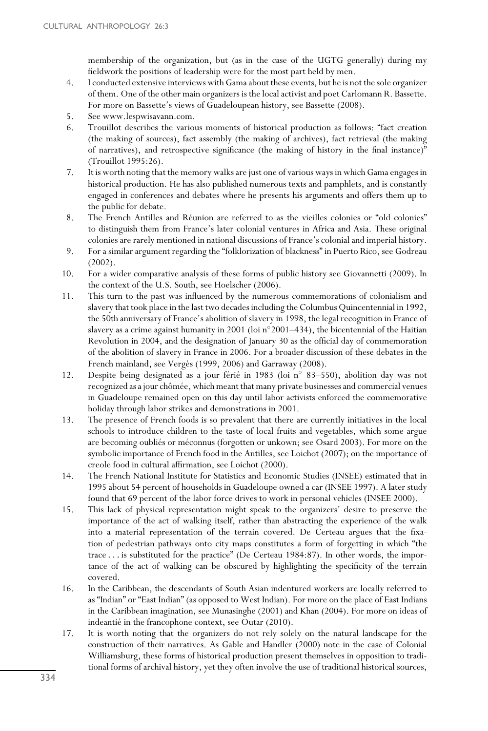membership of the organization, but (as in the case of the UGTG generally) during my fieldwork the positions of leadership were for the most part held by men.

- 4. I conducted extensive interviews with Gama about these events, but he is not the sole organizer of them. One of the other main organizers is the local activist and poet Carlomann R. Bassette. For more on Bassette's views of Guadeloupean history, see Bassette (2008).
- 5. See www.lespwisavann.com.
- 6. Trouillot describes the various moments of historical production as follows: "fact creation (the making of sources), fact assembly (the making of archives), fact retrieval (the making of narratives), and retrospective significance (the making of history in the final instance)" (Trouillot 1995:26).
- 7. It is worth noting that the memory walks are just one of various ways in which Gama engages in historical production. He has also published numerous texts and pamphlets, and is constantly engaged in conferences and debates where he presents his arguments and offers them up to the public for debate.
- 8. The French Antilles and Réunion are referred to as the vieilles colonies or "old colonies" to distinguish them from France's later colonial ventures in Africa and Asia. These original colonies are rarely mentioned in national discussions of France's colonial and imperial history.
- 9. For a similar argument regarding the "folklorization of blackness" in Puerto Rico, see Godreau (2002).
- 10. For a wider comparative analysis of these forms of public history see Giovannetti (2009). In the context of the U.S. South, see Hoelscher (2006).
- 11. This turn to the past was influenced by the numerous commemorations of colonialism and slavery that took place in the last two decades including the Columbus Quincentennial in 1992, the 50th anniversary of France's abolition of slavery in 1998, the legal recognition in France of slavery as a crime against humanity in 2001 (loi n°2001–434), the bicentennial of the Haitian Revolution in 2004, and the designation of January 30 as the official day of commemoration of the abolition of slavery in France in 2006. For a broader discussion of these debates in the French mainland, see Vergès (1999, 2006) and Garraway (2008).
- 12. Despite being designated as a jour férié in 1983 (loi n° 83-550), abolition day was not recognized as a jour chômée, which meant that many private businesses and commercial venues in Guadeloupe remained open on this day until labor activists enforced the commemorative holiday through labor strikes and demonstrations in 2001.
- 13. The presence of French foods is so prevalent that there are currently initiatives in the local schools to introduce children to the taste of local fruits and vegetables, which some argue are becoming oubliés or méconnus (forgotten or unkown; see Osard 2003). For more on the symbolic importance of French food in the Antilles, see Loichot (2007); on the importance of creole food in cultural affirmation, see Loichot (2000).
- 14. The French National Institute for Statistics and Economic Studies (INSEE) estimated that in 1995 about 54 percent of households in Guadeloupe owned a car (INSEE 1997). A later study found that 69 percent of the labor force drives to work in personal vehicles (INSEE 2000).
- 15. This lack of physical representation might speak to the organizers' desire to preserve the importance of the act of walking itself, rather than abstracting the experience of the walk into a material representation of the terrain covered. De Certeau argues that the fixation of pedestrian pathways onto city maps constitutes a form of forgetting in which "the trace ... is substituted for the practice" (De Certeau 1984:87). In other words, the importance of the act of walking can be obscured by highlighting the specificity of the terrain covered.
- 16. In the Caribbean, the descendants of South Asian indentured workers are locally referred to as "Indian" or "East Indian" (as opposed to West Indian). For more on the place of East Indians in the Caribbean imagination, see Munasinghe (2001) and Khan (2004). For more on ideas of indeantié in the francophone context, see Outar (2010).
- 17. It is worth noting that the organizers do not rely solely on the natural landscape for the construction of their narratives. As Gable and Handler (2000) note in the case of Colonial Williamsburg, these forms of historical production present themselves in opposition to traditional forms of archival history, yet they often involve the use of traditional historical sources,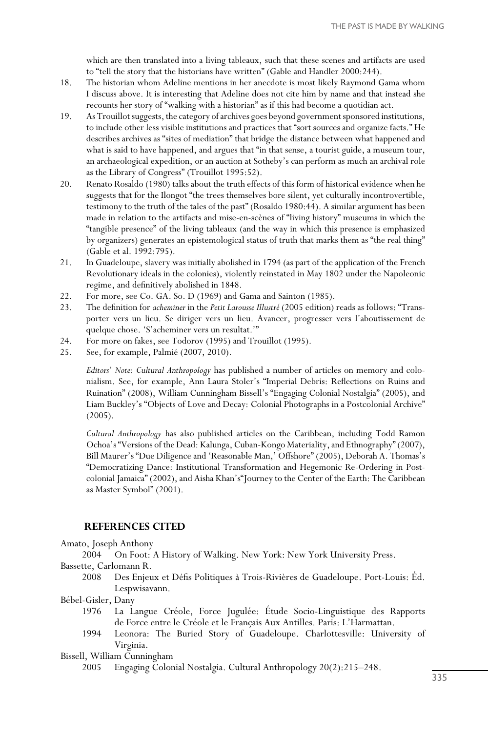which are then translated into a living tableaux, such that these scenes and artifacts are used to "tell the story that the historians have written" (Gable and Handler 2000:244).

- 18. The historian whom Adeline mentions in her anecdote is most likely Raymond Gama whom I discuss above. It is interesting that Adeline does not cite him by name and that instead she recounts her story of "walking with a historian" as if this had become a quotidian act.
- 19. As Trouillot suggests, the category of archives goes beyond government sponsored institutions, to include other less visible institutions and practices that "sort sources and organize facts." He describes archives as "sites of mediation" that bridge the distance between what happened and what is said to have happened, and argues that "in that sense, a tourist guide, a museum tour, an archaeological expedition, or an auction at Sotheby's can perform as much an archival role as the Library of Congress" (Trouillot 1995:52).
- 20. Renato Rosaldo (1980) talks about the truth effects of this form of historical evidence when he suggests that for the Ilongot "the trees themselves bore silent, yet culturally incontrovertible, testimony to the truth of the tales of the past" (Rosaldo 1980:44). A similar argument has been made in relation to the artifacts and mise-en-scènes of "living history" museums in which the "tangible presence" of the living tableaux (and the way in which this presence is emphasized by organizers) generates an epistemological status of truth that marks them as "the real thing" (Gable et al. 1992:795).
- 21. In Guadeloupe, slavery was initially abolished in 1794 (as part of the application of the French Revolutionary ideals in the colonies), violently reinstated in May 1802 under the Napoleonic regime, and definitively abolished in 1848.
- 22. For more, see Co. GA. So. D (1969) and Gama and Sainton (1985).
- 23. The definition for *acheminer* in the *Petit Larousse Illustré* (2005 edition) reads as follows: "Transporter vers un lieu. Se diriger vers un lieu. Avancer, progresser vers l'aboutissement de quelque chose. 'S'acheminer vers un resultat.'"
- 24. For more on fakes, see Todorov (1995) and Trouillot (1995).
- 25. See, for example, Palmie (2007, 2010). ´

*Editors' Note*: *Cultural Anthropology* has published a number of articles on memory and colonialism. See, for example, Ann Laura Stoler's "Imperial Debris: Reflections on Ruins and Ruination" (2008), William Cunningham Bissell's "Engaging Colonial Nostalgia" (2005), and Liam Buckley's "Objects of Love and Decay: Colonial Photographs in a Postcolonial Archive"  $(2005).$ 

*Cultural Anthropology* has also published articles on the Caribbean, including Todd Ramon Ochoa's "Versions of the Dead: Kalunga, Cuban-Kongo Materiality, and Ethnography" (2007), Bill Maurer's "Due Diligence and 'Reasonable Man,' Offshore" (2005), Deborah A. Thomas's "Democratizing Dance: Institutional Transformation and Hegemonic Re-Ordering in Postcolonial Jamaica" (2002), and Aisha Khan's"Journey to the Center of the Earth: The Caribbean as Master Symbol" (2001).

#### **REFERENCES CITED**

Amato, Joseph Anthony<br>2004 On Foot:

On Foot: A History of Walking. New York: New York University Press.

Bassette, Carlomann R.

2008 Des Enjeux et Défis Politiques à Trois-Rivières de Guadeloupe. Port-Louis: Éd. Lespwisavann.

Bebel-Gisler, Dany ´

- 1976 La Langue Créole, Force Jugulée: Étude Socio-Linguistique des Rapports de Force entre le Créole et le Français Aux Antilles. Paris: L'Harmattan.
- 1994 Leonora: The Buried Story of Guadeloupe. Charlottesville: University of Virginia.

Bissell, William Cunningham

2005 Engaging Colonial Nostalgia. Cultural Anthropology 20(2):215–248.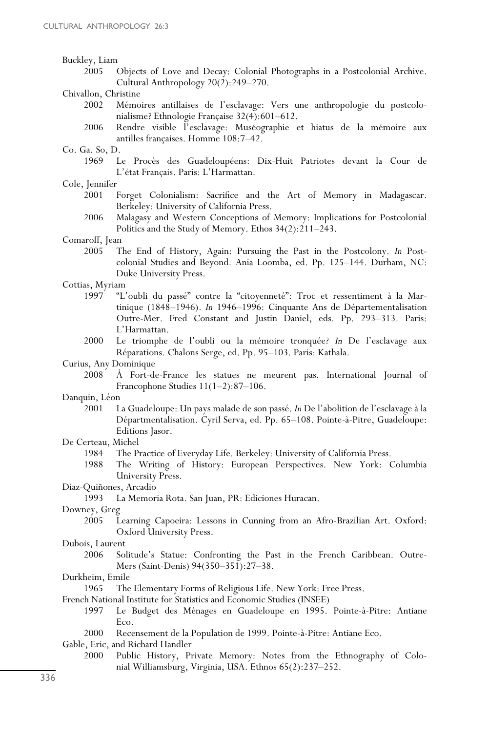Buckley, Liam<br>2005

2005 Objects of Love and Decay: Colonial Photographs in a Postcolonial Archive. Cultural Anthropology 20(2):249–270.

Chivallon, Christine

- 2002 Memoires antillaises de l'esclavage: Vers une anthropologie du postcolo- ´ nialisme? Ethnologie Française 32(4):601–612.
- 2006 Rendre visible l'esclavage: Muséographie et hiatus de la mémoire aux antilles françaises. Homme 108:7-42.

Co. Ga. So, D.

1969 Le Procès des Guadeloupéens: Dix-Huit Patriotes devant la Cour de L'état Français. Paris: L'Harmattan.

Cole, Jennifer

- 2001 Forget Colonialism: Sacrifice and the Art of Memory in Madagascar. Berkeley: University of California Press.
- 2006 Malagasy and Western Conceptions of Memory: Implications for Postcolonial Politics and the Study of Memory. Ethos 34(2):211–243.

Comaroff, Jean<br>2005 T

The End of History, Again: Pursuing the Past in the Postcolony. *In* Postcolonial Studies and Beyond. Ania Loomba, ed. Pp. 125–144. Durham, NC: Duke University Press.

Cottias, Myriam<br>1997 "L

- "L'oubli du passé" contre la "citoyenneté": Troc et ressentiment à la Martinique (1848–1946). *In* 1946–1996: Cinquante Ans de Départementalisation Outre-Mer. Fred Constant and Justin Daniel, eds. Pp. 293–313. Paris: L'Harmattan.
- 2000 Le triomphe de l'oubli ou la mémoire tronquée? In De l'esclavage aux Réparations. Chalons Serge, ed. Pp. 95–103. Paris: Kathala.

Curius, Any Dominique

 $\overrightarrow{A}$  Fort-de-France les statues ne meurent pas. International Journal of Francophone Studies 11(1–2):87–106.

Danquin, Léon<br>
2001 L

La Guadeloupe: Un pays malade de son passé. In De l'abolition de l'esclavage à la Départmentalisation. Cyril Serva, ed. Pp. 65-108. Pointe-à-Pitre, Guadeloupe: Editions Jasor.

De Certeau, Michel

- The Practice of Everyday Life. Berkeley: University of California Press.
- 1988 The Writing of History: European Perspectives. New York: Columbia University Press.

Díaz-Quiñones, Arcadio

1993 La Memoria Rota. San Juan, PR: Ediciones Huracan.

Downey, Greg

2005 Learning Capoeira: Lessons in Cunning from an Afro-Brazilian Art. Oxford: Oxford University Press.

Dubois, Laurent

2006 Solitude's Statue: Confronting the Past in the French Caribbean. Outre-Mers (Saint-Denis) 94(350–351):27–38.

Durkheim, Emile

1965 The Elementary Forms of Religious Life. New York: Free Press.

French National Institute for Statistics and Economic Studies (INSEE)<br>1997 Le Budget des Mènages en Guadeloupe en 1995.

- Le Budget des Mènages en Guadeloupe en 1995. Pointe-à-Pitre: Antiane Eco.
- 2000 Recensement de la Population de 1999. Pointe-à-Pitre: Antiane Eco.

Gable, Eric, and Richard Handler

2000 Public History, Private Memory: Notes from the Ethnography of Colonial Williamsburg, Virginia, USA. Ethnos 65(2):237–252.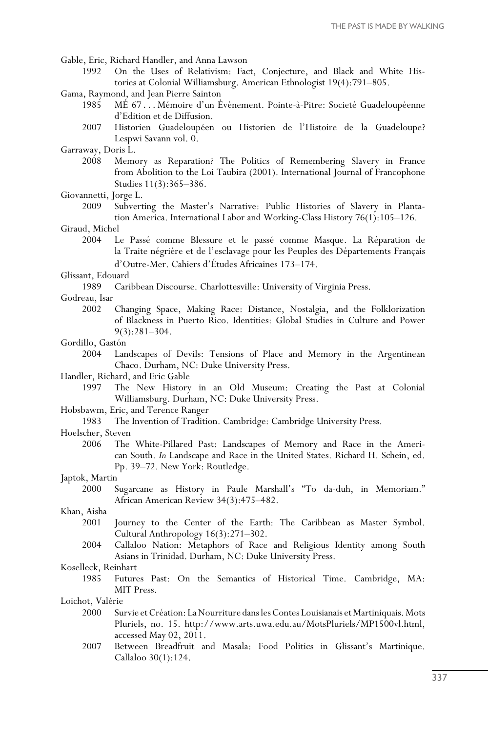Gable, Eric, Richard Handler, and Anna Lawson

- On the Uses of Relativism: Fact, Conjecture, and Black and White Histories at Colonial Williamsburg. American Ethnologist 19(4):791–805.
- Gama, Raymond, and Jean Pierre Sainton
	- 1985 MÉ 67 ... Mémoire d'un Évènement. Pointe-à-Pitre: Societé Guadeloupéenne d'Edition et de Diffusion.
	- 2007 Historien Guadeloupéen ou Historien de l'Histoire de la Guadeloupe? Lespwi Savann vol. 0.
- Garraway, Doris L.
	- 2008 Memory as Reparation? The Politics of Remembering Slavery in France from Abolition to the Loi Taubira (2001). International Journal of Francophone Studies 11(3):365–386.
- Giovannetti, Jorge L.
	- Subverting the Master's Narrative: Public Histories of Slavery in Plantation America. International Labor and Working-Class History 76(1):105–126.
- Giraud, Michel
	- Le Passé comme Blessure et le passé comme Masque. La Réparation de la Traite négrière et de l'esclavage pour les Peuples des Départements Français d'Outre-Mer. Cahiers d'Etudes Africaines 173–174. ´

Glissant, Edouard

Caribbean Discourse. Charlottesville: University of Virginia Press.

Godreau, Isar

- 2002 Changing Space, Making Race: Distance, Nostalgia, and the Folklorization of Blackness in Puerto Rico. Identities: Global Studies in Culture and Power 9(3):281–304.
- Gordillo, Gastón
	- 2004 Landscapes of Devils: Tensions of Place and Memory in the Argentinean Chaco. Durham, NC: Duke University Press.
- Handler, Richard, and Eric Gable
	- 1997 The New History in an Old Museum: Creating the Past at Colonial Williamsburg. Durham, NC: Duke University Press.
- Hobsbawm, Eric, and Terence Ranger
	- The Invention of Tradition. Cambridge: Cambridge University Press.

Hoelscher, Steven<br>
2006 The

- The White-Pillared Past: Landscapes of Memory and Race in the American South. *In* Landscape and Race in the United States. Richard H. Schein, ed. Pp. 39–72. New York: Routledge.
- Japtok, Martin
	- Sugarcane as History in Paule Marshall's "To da-duh, in Memoriam." African American Review 34(3):475–482.

Khan, Aisha

- Journey to the Center of the Earth: The Caribbean as Master Symbol. Cultural Anthropology 16(3):271–302.
- 2004 Callaloo Nation: Metaphors of Race and Religious Identity among South Asians in Trinidad. Durham, NC: Duke University Press.

## Koselleck, Reinhart

- Futures Past: On the Semantics of Historical Time. Cambridge, MA: MIT Press.
- Loichot, Valérie
	- 2000 Survie et Création: La Nourriture dans les Contes Louisianais et Martiniquais. Mots Pluriels, no. 15. http://www.arts.uwa.edu.au/MotsPluriels/MP1500vl.html, accessed May 02, 2011.
	- 2007 Between Breadfruit and Masala: Food Politics in Glissant's Martinique. Callaloo 30(1):124.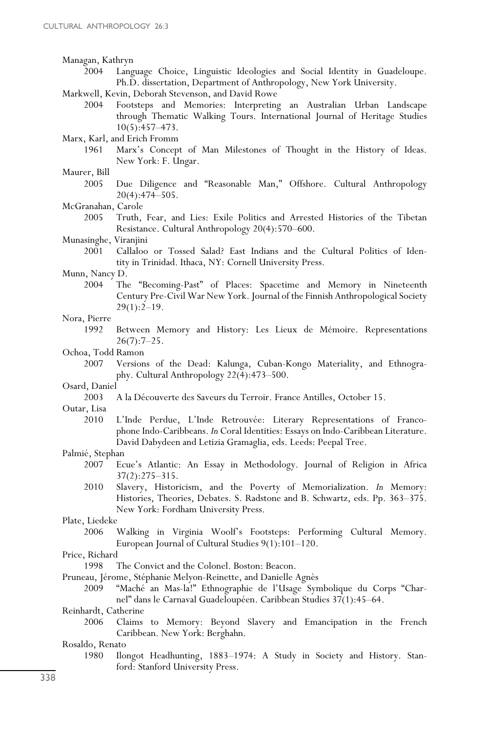| Managan, Kathryn            |                                                                                                                                                                                                                            |
|-----------------------------|----------------------------------------------------------------------------------------------------------------------------------------------------------------------------------------------------------------------------|
| 2004                        | Language Choice, Linguistic Ideologies and Social Identity in Guadeloupe.<br>Ph.D. dissertation, Department of Anthropology, New York University.                                                                          |
| 2004                        | Markwell, Kevin, Deborah Stevenson, and David Rowe<br>Footsteps and Memories: Interpreting an Australian Urban Landscape<br>through Thematic Walking Tours. International Journal of Heritage Studies<br>$10(5):457-473.$  |
| Marx, Karl, and Erich Fromm |                                                                                                                                                                                                                            |
| 1961                        | Marx's Concept of Man Milestones of Thought in the History of Ideas.<br>New York: F. Ungar.                                                                                                                                |
| Maurer, Bill                |                                                                                                                                                                                                                            |
| 2005                        | Due Diligence and "Reasonable Man," Offshore. Cultural Anthropology<br>$20(4):474-505.$                                                                                                                                    |
| McGranahan, Carole          |                                                                                                                                                                                                                            |
| 2005                        | Truth, Fear, and Lies: Exile Politics and Arrested Histories of the Tibetan<br>Resistance. Cultural Anthropology 20(4):570–600.                                                                                            |
| Munasinghe, Viranjini       |                                                                                                                                                                                                                            |
| 2001                        | Callaloo or Tossed Salad? East Indians and the Cultural Politics of Iden-<br>tity in Trinidad. Ithaca, NY: Cornell University Press.                                                                                       |
| Munn, Nancy D.              |                                                                                                                                                                                                                            |
| 2004                        | The "Becoming-Past" of Places: Spacetime and Memory in Nineteenth<br>Century Pre-Civil War New York. Journal of the Finnish Anthropological Society<br>$29(1):2-19.$                                                       |
| Nora, Pierre                |                                                                                                                                                                                                                            |
| 1992                        | Between Memory and History: Les Lieux de Mémoire. Representations<br>$26(7):7-25.$                                                                                                                                         |
| Ochoa, Todd Ramon           |                                                                                                                                                                                                                            |
| 2007                        | Versions of the Dead: Kalunga, Cuban-Kongo Materiality, and Ethnogra-<br>phy. Cultural Anthropology $22(4):473-500$ .                                                                                                      |
| Osard, Daniel               |                                                                                                                                                                                                                            |
| 2003                        | A la Découverte des Saveurs du Terroir. France Antilles, October 15.                                                                                                                                                       |
| Outar, Lisa                 |                                                                                                                                                                                                                            |
| 2010                        | L'Inde Perdue, L'Inde Retrouvée: Literary Representations of Franco-<br>phone Indo-Caribbeans. In Coral Identities: Essays on Indo-Caribbean Literature.<br>David Dabydeen and Letizia Gramaglia, eds. Leeds: Peepal Tree. |
| Palmié, Stephan             |                                                                                                                                                                                                                            |
| 2007                        | Ecue's Atlantic: An Essay in Methodology. Journal of Religion in Africa<br>$37(2):275-315.$                                                                                                                                |
| 2010                        | Slavery, Historicism, and the Poverty of Memorialization. In Memory:<br>Histories, Theories, Debates. S. Radstone and B. Schwartz, eds. Pp. 363–375.<br>New York: Fordham University Press.                                |
| Plate, Liedeke              |                                                                                                                                                                                                                            |
| 2006                        | Walking in Virginia Woolf's Footsteps: Performing Cultural Memory.<br>European Journal of Cultural Studies 9(1):101-120.                                                                                                   |
| Price, Richard              |                                                                                                                                                                                                                            |
| 1998                        | The Convict and the Colonel. Boston: Beacon.                                                                                                                                                                               |
|                             | Pruneau, Jérome, Stéphanie Melyon-Reinette, and Danielle Agnès                                                                                                                                                             |
| 2009                        | "Maché an Mas-la!" Ethnographie de l'Usage Symbolique du Corps "Char-<br>nel" dans le Carnaval Guadeloupéen. Caribbean Studies 37(1):45–64.                                                                                |
| Reinhardt, Catherine        |                                                                                                                                                                                                                            |
| 2006                        | Claims to Memory: Beyond Slavery and Emancipation in the French<br>Caribbean. New York: Berghahn.                                                                                                                          |
| Rosaldo, Renato             |                                                                                                                                                                                                                            |
| 1980                        | Ilongot Headhunting, 1883–1974: A Study in Society and History. Stan-                                                                                                                                                      |

ford: Stanford University Press.